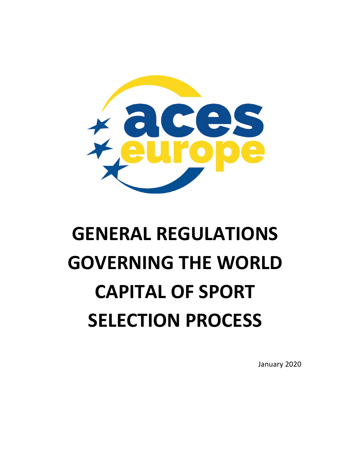

# **GENERAL REGULATIONS GOVERNING THE WORLD CAPITAL OF SPORT SELECTION PROCESS**

January 2020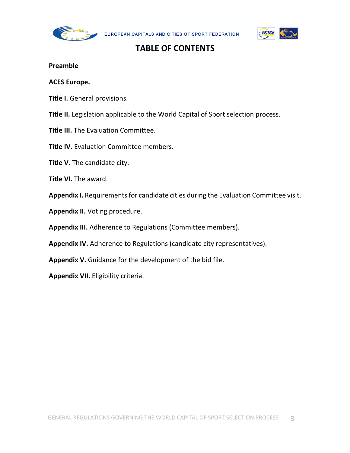



# **TABLE OF CONTENTS**

#### **Preamble**

#### **ACES Europe.**

- **Title I.** General provisions.
- **Title II.** Legislation applicable to the World Capital of Sport selection process.
- **Title III.** The Evaluation Committee.
- **Title IV.** Evaluation Committee members.
- **Title V.** The candidate city.
- **Title VI.** The award.
- **Appendix I.** Requirements for candidate cities during the Evaluation Committee visit.
- **Appendix II.** Voting procedure.
- **Appendix III.** Adherence to Regulations (Committee members).
- **Appendix IV.** Adherence to Regulations (candidate city representatives).
- **Appendix V.** Guidance for the development of the bid file.
- **Appendix VII.** Eligibility criteria.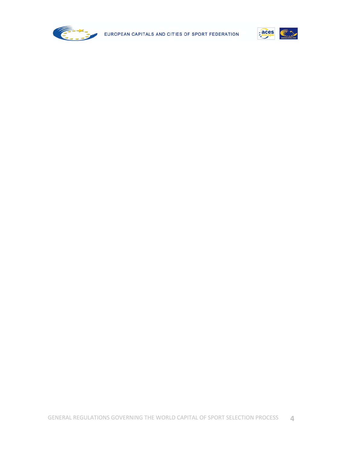

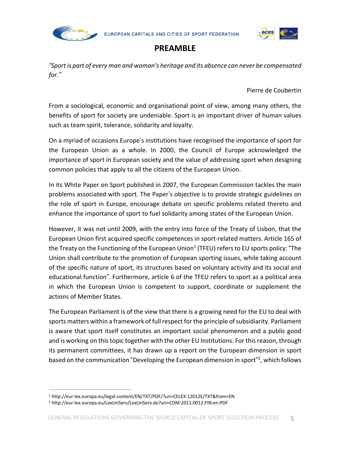EUROPEAN CAPITALS AND CITIES OF SPORT FEDERATION



# **PREAMBLE**

*"Sport is part of every man and woman's heritage and its absence can never be compensated for."*

Pierre de Coubertin

From a sociological, economic and organisational point of view, among many others, the benefits of sport for society are undeniable. Sport is an important driver of human values such as team spirit, tolerance, solidarity and loyalty.

On a myriad of occasions Europe's institutions have recognised the importance of sport for the European Union as a whole. In 2000, the Council of Europe acknowledged the importance of sport in European society and the value of addressing sport when designing common policies that apply to all the citizens of the European Union.

In its White Paper on Sport published in 2007, the European Commission tackles the main problems associated with sport. The Paper's objective is to provide strategic guidelines on the role of sport in Europe, encourage debate on specific problems related thereto and enhance the importance of sport to fuel solidarity among states of the European Union.

However, it was not until 2009, with the entry into force of the Treaty of Lisbon, that the European Union first acquired specific competences in sport-related matters. Article 165 of the Treaty on the Functioning of the European Union<sup>1</sup> (TFEU) refers to EU sports policy: "The Union shall contribute to the promotion of European sporting issues, while taking account of the specific nature of sport, its structures based on voluntary activity and its social and educational function". Furthermore, article 6 of the TFEU refers to sport as a political area in which the European Union is competent to support, coordinate or supplement the actions of Member States.

The European Parliament is of the view that there is a growing need for the EU to deal with sports matters within a framework of full respect for the principle of subsidiarity. Parliament is aware that sport itself constitutes an important social phenomenon and a public good and is working on this topic together with the other EU Institutions. For this reason, through its permanent committees, it has drawn up a report on the European dimension in sport based on the communication "Developing the European dimension in sport"<sup>2</sup>, which follows

<sup>1</sup> http://eur-lex.europa.eu/legal-content/EN/TXT/PDF/?uri=CELEX:12012E/TXT&from=EN

<sup>2</sup> http://eur-lex.europa.eu/LexUriServ/LexUriServ.do?uri=COM:2011:0012:FIN:en:PDF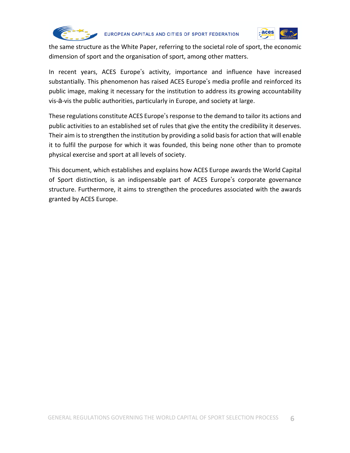



the same structure as the White Paper, referring to the societal role of sport, the economic dimension of sport and the organisation of sport, among other matters.

In recent years, ACES Europe's activity, importance and influence have increased substantially. This phenomenon has raised ACES Europe's media profile and reinforced its public image, making it necessary for the institution to address its growing accountability vis-à-vis the public authorities, particularly in Europe, and society at large.

These regulations constitute ACES Europe's response to the demand to tailor its actions and public activities to an established set of rules that give the entity the credibility it deserves. Their aim is to strengthen the institution by providing a solid basis for action that will enable it to fulfil the purpose for which it was founded, this being none other than to promote physical exercise and sport at all levels of society.

This document, which establishes and explains how ACES Europe awards the World Capital of Sport distinction, is an indispensable part of ACES Europe's corporate governance structure. Furthermore, it aims to strengthen the procedures associated with the awards granted by ACES Europe.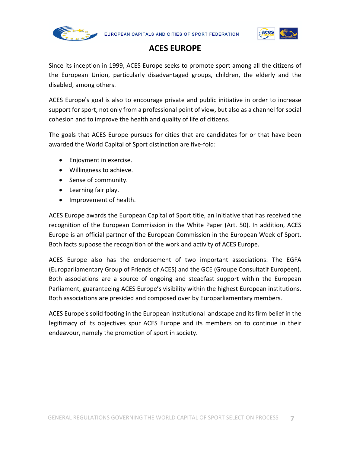



# **ACES EUROPE**

Since its inception in 1999, ACES Europe seeks to promote sport among all the citizens of the European Union, particularly disadvantaged groups, children, the elderly and the disabled, among others.

ACES Europe's goal is also to encourage private and public initiative in order to increase support for sport, not only from a professional point of view, but also as a channel for social cohesion and to improve the health and quality of life of citizens.

The goals that ACES Europe pursues for cities that are candidates for or that have been awarded the World Capital of Sport distinction are five-fold:

- Enjoyment in exercise.
- Willingness to achieve.
- Sense of community.
- Learning fair play.
- Improvement of health.

ACES Europe awards the European Capital of Sport title, an initiative that has received the recognition of the European Commission in the White Paper (Art. 50). In addition, ACES Europe is an official partner of the European Commission in the European Week of Sport. Both facts suppose the recognition of the work and activity of ACES Europe.

ACES Europe also has the endorsement of two important associations: The EGFA (Europarliamentary Group of Friends of ACES) and the GCE (Groupe Consultatif Européen). Both associations are a source of ongoing and steadfast support within the European Parliament, guaranteeing ACES Europe's visibility within the highest European institutions. Both associations are presided and composed over by Europarliamentary members.

ACES Europe's solid footing in the European institutional landscape and its firm belief in the legitimacy of its objectives spur ACES Europe and its members on to continue in their endeavour, namely the promotion of sport in society.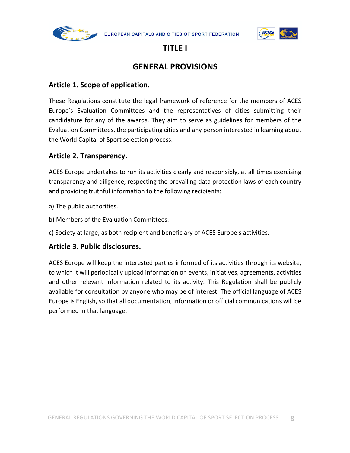



# **TITLE I**

# **GENERAL PROVISIONS**

#### **Article 1. Scope of application.**

These Regulations constitute the legal framework of reference for the members of ACES Europe's Evaluation Committees and the representatives of cities submitting their candidature for any of the awards. They aim to serve as guidelines for members of the Evaluation Committees, the participating cities and any person interested in learning about the World Capital of Sport selection process.

#### **Article 2. Transparency.**

ACES Europe undertakes to run its activities clearly and responsibly, at all times exercising transparency and diligence, respecting the prevailing data protection laws of each country and providing truthful information to the following recipients:

- a) The public authorities.
- b) Members of the Evaluation Committees.
- c) Society at large, as both recipient and beneficiary of ACES Europe's activities.

#### **Article 3. Public disclosures.**

ACES Europe will keep the interested parties informed of its activities through its website, to which it will periodically upload information on events, initiatives, agreements, activities and other relevant information related to its activity. This Regulation shall be publicly available for consultation by anyone who may be of interest. The official language of ACES Europe is English, so that all documentation, information or official communications will be performed in that language.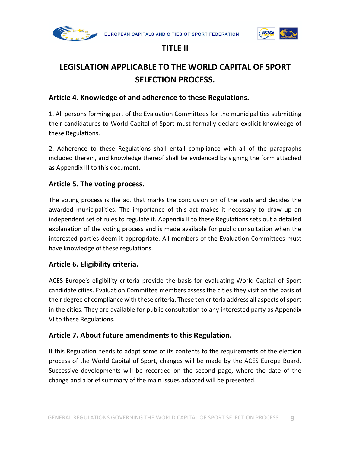



# **TITLE II**

# **LEGISLATION APPLICABLE TO THE WORLD CAPITAL OF SPORT SELECTION PROCESS.**

#### **Article 4. Knowledge of and adherence to these Regulations.**

1. All persons forming part of the Evaluation Committees for the municipalities submitting their candidatures to World Capital of Sport must formally declare explicit knowledge of these Regulations.

2. Adherence to these Regulations shall entail compliance with all of the paragraphs included therein, and knowledge thereof shall be evidenced by signing the form attached as Appendix III to this document.

#### **Article 5. The voting process.**

The voting process is the act that marks the conclusion on of the visits and decides the awarded municipalities. The importance of this act makes it necessary to draw up an independent set of rules to regulate it. Appendix II to these Regulations sets out a detailed explanation of the voting process and is made available for public consultation when the interested parties deem it appropriate. All members of the Evaluation Committees must have knowledge of these regulations.

#### **Article 6. Eligibility criteria.**

ACES Europe's eligibility criteria provide the basis for evaluating World Capital of Sport candidate cities. Evaluation Committee members assess the cities they visit on the basis of their degree of compliance with these criteria. These ten criteria address all aspects of sport in the cities. They are available for public consultation to any interested party as Appendix VI to these Regulations.

#### **Article 7. About future amendments to this Regulation.**

If this Regulation needs to adapt some of its contents to the requirements of the election process of the World Capital of Sport, changes will be made by the ACES Europe Board. Successive developments will be recorded on the second page, where the date of the change and a brief summary of the main issues adapted will be presented.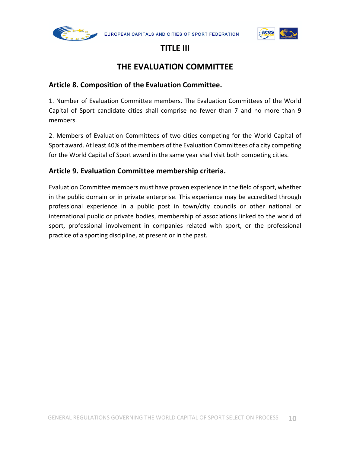



# **TITLE III**

# **THE EVALUATION COMMITTEE**

#### **Article 8. Composition of the Evaluation Committee.**

1. Number of Evaluation Committee members. The Evaluation Committees of the World Capital of Sport candidate cities shall comprise no fewer than 7 and no more than 9 members.

2. Members of Evaluation Committees of two cities competing for the World Capital of Sport award. At least 40% of the members of the Evaluation Committees of a city competing for the World Capital of Sport award in the same year shall visit both competing cities.

#### **Article 9. Evaluation Committee membership criteria.**

Evaluation Committee members must have proven experience in the field of sport, whether in the public domain or in private enterprise. This experience may be accredited through professional experience in a public post in town/city councils or other national or international public or private bodies, membership of associations linked to the world of sport, professional involvement in companies related with sport, or the professional practice of a sporting discipline, at present or in the past.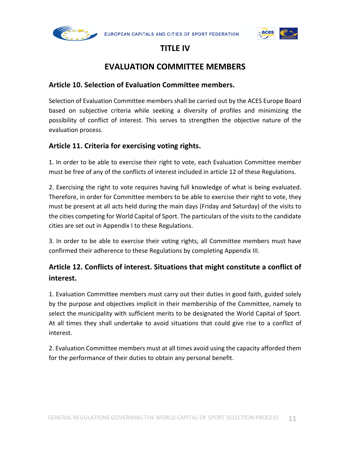EUROPEAN CAPITALS AND CITIES OF SPORT FEDERATION





# **TITLE IV**

# **EVALUATION COMMITTEE MEMBERS**

#### **Article 10. Selection of Evaluation Committee members.**

Selection of Evaluation Committee members shall be carried out by the ACES Europe Board based on subjective criteria while seeking a diversity of profiles and minimizing the possibility of conflict of interest. This serves to strengthen the objective nature of the evaluation process.

#### **Article 11. Criteria for exercising voting rights.**

1. In order to be able to exercise their right to vote, each Evaluation Committee member must be free of any of the conflicts of interest included in article 12 of these Regulations.

2. Exercising the right to vote requires having full knowledge of what is being evaluated. Therefore, in order for Committee members to be able to exercise their right to vote, they must be present at all acts held during the main days (Friday and Saturday) of the visits to the cities competing for World Capital of Sport. The particulars of the visits to the candidate cities are set out in Appendix I to these Regulations.

3. In order to be able to exercise their voting rights, all Committee members must have confirmed their adherence to these Regulations by completing Appendix III.

# **Article 12. Conflicts of interest. Situations that might constitute a conflict of interest.**

1. Evaluation Committee members must carry out their duties in good faith, guided solely by the purpose and objectives implicit in their membership of the Committee, namely to select the municipality with sufficient merits to be designated the World Capital of Sport. At all times they shall undertake to avoid situations that could give rise to a conflict of interest.

2. Evaluation Committee members must at all times avoid using the capacity afforded them for the performance of their duties to obtain any personal benefit.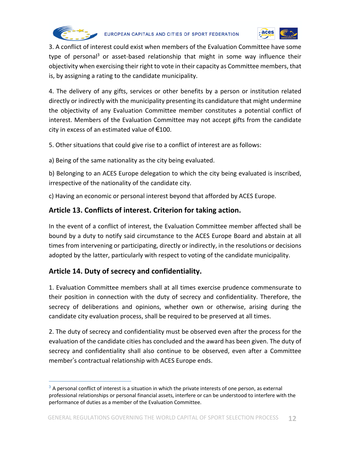



3. A conflict of interest could exist when members of the Evaluation Committee have some type of personal<sup>3</sup> or asset-based relationship that might in some way influence their objectivity when exercising their right to vote in their capacity as Committee members, that is, by assigning a rating to the candidate municipality.

4. The delivery of any gifts, services or other benefits by a person or institution related directly or indirectly with the municipality presenting its candidature that might undermine the objectivity of any Evaluation Committee member constitutes a potential conflict of interest. Members of the Evaluation Committee may not accept gifts from the candidate city in excess of an estimated value of  $€100$ .

5. Other situations that could give rise to a conflict of interest are as follows:

a) Being of the same nationality as the city being evaluated.

b) Belonging to an ACES Europe delegation to which the city being evaluated is inscribed, irrespective of the nationality of the candidate city.

c) Having an economic or personal interest beyond that afforded by ACES Europe.

### **Article 13. Conflicts of interest. Criterion for taking action.**

In the event of a conflict of interest, the Evaluation Committee member affected shall be bound by a duty to notify said circumstance to the ACES Europe Board and abstain at all times from intervening or participating, directly or indirectly, in the resolutions or decisions adopted by the latter, particularly with respect to voting of the candidate municipality.

### **Article 14. Duty of secrecy and confidentiality.**

1. Evaluation Committee members shall at all times exercise prudence commensurate to their position in connection with the duty of secrecy and confidentiality. Therefore, the secrecy of deliberations and opinions, whether own or otherwise, arising during the candidate city evaluation process, shall be required to be preserved at all times.

2. The duty of secrecy and confidentiality must be observed even after the process for the evaluation of the candidate cities has concluded and the award has been given. The duty of secrecy and confidentiality shall also continue to be observed, even after a Committee member's contractual relationship with ACES Europe ends.

 $3$  A personal conflict of interest is a situation in which the private interests of one person, as external professional relationships or personal financial assets, interfere or can be understood to interfere with the performance of duties as a member of the Evaluation Committee.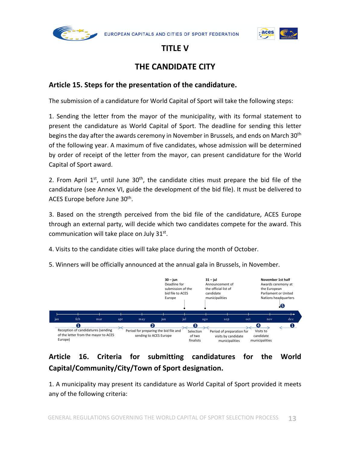



# **TITLE V**

# **THE CANDIDATE CITY**

#### **Article 15. Steps for the presentation of the candidature.**

The submission of a candidature for World Capital of Sport will take the following steps:

1. Sending the letter from the mayor of the municipality, with its formal statement to present the candidature as World Capital of Sport. The deadline for sending this letter begins the day after the awards ceremony in November in Brussels, and ends on March 30<sup>th</sup> of the following year. A maximum of five candidates, whose admission will be determined by order of receipt of the letter from the mayor, can present candidature for the World Capital of Sport award.

2. From April  $1^{st}$ , until June  $30^{th}$ , the candidate cities must prepare the bid file of the candidature (see Annex VI, guide the development of the bid file). It must be delivered to ACES Europe before June 30th.

3. Based on the strength perceived from the bid file of the candidature, ACES Europe through an external party, will decide which two candidates compete for the award. This communication will take place on July 31st.

- 4. Visits to the candidate cities will take place during the month of October.
- 5. Winners will be officially announced at the annual gala in Brussels, in November.



# **Article 16. Criteria for submitting candidatures for the World Capital/Community/City/Town of Sport designation.**

1. A municipality may present its candidature as World Capital of Sport provided it meets any of the following criteria: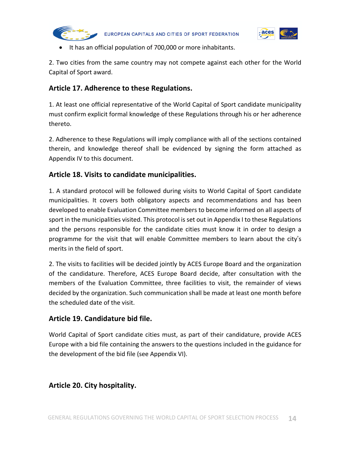



• It has an official population of 700,000 or more inhabitants.

2. Two cities from the same country may not compete against each other for the World Capital of Sport award.

#### **Article 17. Adherence to these Regulations.**

1. At least one official representative of the World Capital of Sport candidate municipality must confirm explicit formal knowledge of these Regulations through his or her adherence thereto.

2. Adherence to these Regulations will imply compliance with all of the sections contained therein, and knowledge thereof shall be evidenced by signing the form attached as Appendix IV to this document.

#### **Article 18. Visits to candidate municipalities.**

1. A standard protocol will be followed during visits to World Capital of Sport candidate municipalities. It covers both obligatory aspects and recommendations and has been developed to enable Evaluation Committee members to become informed on all aspects of sport in the municipalities visited. This protocol is set out in Appendix I to these Regulations and the persons responsible for the candidate cities must know it in order to design a programme for the visit that will enable Committee members to learn about the city's merits in the field of sport.

2. The visits to facilities will be decided jointly by ACES Europe Board and the organization of the candidature. Therefore, ACES Europe Board decide, after consultation with the members of the Evaluation Committee, three facilities to visit, the remainder of views decided by the organization. Such communication shall be made at least one month before the scheduled date of the visit.

### **Article 19. Candidature bid file.**

World Capital of Sport candidate cities must, as part of their candidature, provide ACES Europe with a bid file containing the answers to the questions included in the guidance for the development of the bid file (see Appendix VI).

### **Article 20. City hospitality.**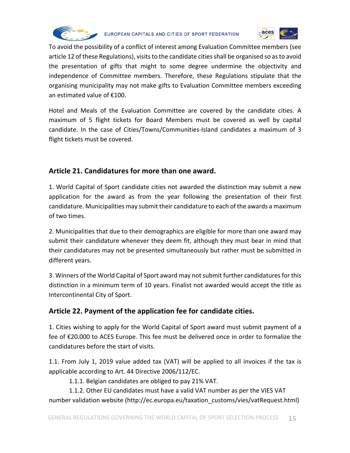



To avoid the possibility of a conflict of interest among Evaluation Committee members (see article 12 of these Regulations), visits to the candidate cities shall be organised so as to avoid the presentation of gifts that might to some degree undermine the objectivity and independence of Committee members. Therefore, these Regulations stipulate that the organising municipality may not make gifts to Evaluation Committee members exceeding an estimated value of €100.

Hotel and Meals of the Evaluation Committee are covered by the candidate cities. A maximum of 5 flight tickets for Board Members must be covered as well by capital candidate. In the case of Cities/Towns/Communities-Island candidates a maximum of 3 flight tickets must be covered.

### **Article 21. Candidatures for more than one award.**

1. World Capital of Sport candidate cities not awarded the distinction may submit a new application for the award as from the year following the presentation of their first candidature. Municipalities may submit their candidature to each of the awards a maximum of two times.

2. Municipalities that due to their demographics are eligible for more than one award may submit their candidature whenever they deem fit, although they must bear in mind that their candidatures may not be presented simultaneously but rather must be submitted in different years.

3. Winners of the World Capital of Sport award may not submit further candidatures for this distinction in a minimum term of 10 years. Finalist not awarded would accept the title as Intercontinental City of Sport.

### **Article 22. Payment of the application fee for candidate cities.**

1. Cities wishing to apply for the World Capital of Sport award must submit payment of a fee of €20.000 to ACES Europe. This fee must be delivered once in order to formalize the candidatures before the start of visits.

1.1. From July 1, 2019 value added tax (VAT) will be applied to all invoices if the tax is applicable according to Art. 44 Directive 2006/112/EC.

1.1.1. Belgian candidates are obliged to pay 21% VAT.

1.1.2. Other EU candidates must have a valid VAT number as per the VIES VAT number validation website (http://ec.europa.eu/taxation\_customs/vies/vatRequest.html)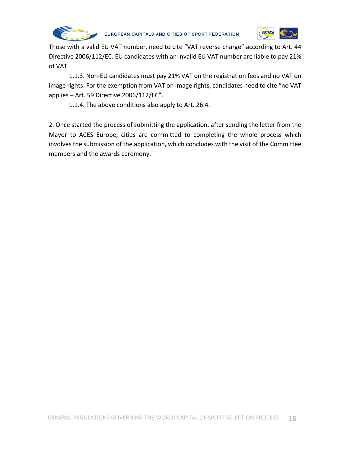



Those with a valid EU VAT number, need to cite "VAT reverse charge" according to Art. 44 Directive 2006/112/EC. EU candidates with an invalid EU VAT number are liable to pay 21% of VAT.

1.1.3. Non-EU candidates must pay 21% VAT on the registration fees and no VAT on image rights. For the exemption from VAT on image rights, candidates need to cite "no VAT applies – Art. 59 Directive 2006/112/EC".

1.1.4. The above conditions also apply to Art. 26.4.

2. Once started the process of submitting the application, after sending the letter from the Mayor to ACES Europe, cities are committed to completing the whole process which involves the submission of the application, which concludes with the visit of the Committee members and the awards ceremony.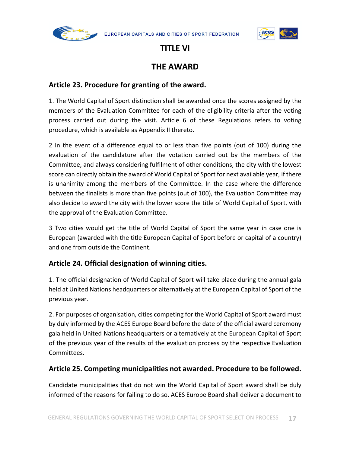



# **TITLE VI**

# **THE AWARD**

#### **Article 23. Procedure for granting of the award.**

1. The World Capital of Sport distinction shall be awarded once the scores assigned by the members of the Evaluation Committee for each of the eligibility criteria after the voting process carried out during the visit. Article 6 of these Regulations refers to voting procedure, which is available as Appendix II thereto.

2 In the event of a difference equal to or less than five points (out of 100) during the evaluation of the candidature after the votation carried out by the members of the Committee, and always considering fulfilment of other conditions, the city with the lowest score can directly obtain the award of World Capital of Sport for next available year, if there is unanimity among the members of the Committee. In the case where the difference between the finalists is more than five points (out of 100), the Evaluation Committee may also decide to award the city with the lower score the title of World Capital of Sport, with the approval of the Evaluation Committee.

3 Two cities would get the title of World Capital of Sport the same year in case one is European (awarded with the title European Capital of Sport before or capital of a country) and one from outside the Continent.

### **Article 24. Official designation of winning cities.**

1. The official designation of World Capital of Sport will take place during the annual gala held at United Nations headquarters or alternatively at the European Capital of Sport of the previous year.

2. For purposes of organisation, cities competing for the World Capital of Sport award must by duly informed by the ACES Europe Board before the date of the official award ceremony gala held in United Nations headquarters or alternatively at the European Capital of Sport of the previous year of the results of the evaluation process by the respective Evaluation Committees.

### **Article 25. Competing municipalities not awarded. Procedure to be followed.**

Candidate municipalities that do not win the World Capital of Sport award shall be duly informed of the reasons for failing to do so. ACES Europe Board shall deliver a document to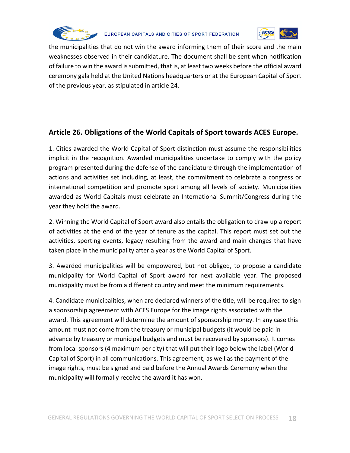



the municipalities that do not win the award informing them of their score and the main weaknesses observed in their candidature. The document shall be sent when notification of failure to win the award is submitted, that is, at least two weeks before the official award ceremony gala held at the United Nations headquarters or at the European Capital of Sport of the previous year, as stipulated in article 24.

#### **Article 26. Obligations of the World Capitals of Sport towards ACES Europe.**

1. Cities awarded the World Capital of Sport distinction must assume the responsibilities implicit in the recognition. Awarded municipalities undertake to comply with the policy program presented during the defense of the candidature through the implementation of actions and activities set including, at least, the commitment to celebrate a congress or international competition and promote sport among all levels of society. Municipalities awarded as World Capitals must celebrate an International Summit/Congress during the year they hold the award.

2. Winning the World Capital of Sport award also entails the obligation to draw up a report of activities at the end of the year of tenure as the capital. This report must set out the activities, sporting events, legacy resulting from the award and main changes that have taken place in the municipality after a year as the World Capital of Sport.

3. Awarded municipalities will be empowered, but not obliged, to propose a candidate municipality for World Capital of Sport award for next available year. The proposed municipality must be from a different country and meet the minimum requirements.

4. Candidate municipalities, when are declared winners of the title, will be required to sign a sponsorship agreement with ACES Europe for the image rights associated with the award. This agreement will determine the amount of sponsorship money. In any case this amount must not come from the treasury or municipal budgets (it would be paid in advance by treasury or municipal budgets and must be recovered by sponsors). It comes from local sponsors (4 maximum per city) that will put their logo below the label (World Capital of Sport) in all communications. This agreement, as well as the payment of the image rights, must be signed and paid before the Annual Awards Ceremony when the municipality will formally receive the award it has won.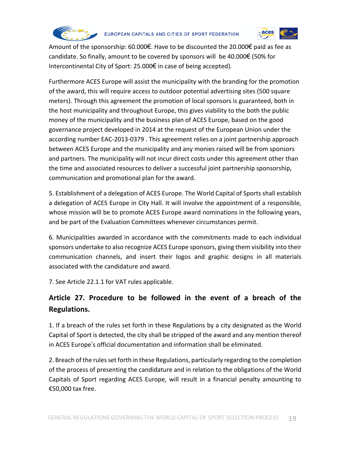



Amount of the sponsorship: 60.000€. Have to be discounted the 20.000€ paid as fee as candidate. So finally, amount to be covered by sponsors will be 40.000€ (50% for Intercontinental City of Sport: 25.000€ in case of being accepted).

Furthermore ACES Europe will assist the municipality with the branding for the promotion of the award, this will require access to outdoor potential advertising sites (500 square meters). Through this agreement the promotion of local sponsors is guaranteed, both in the host municipality and throughout Europe, this gives viability to the both the public money of the municipality and the business plan of ACES Europe, based on the good governance project developed in 2014 at the request of the European Union under the according number EAC-2013-0379 . This agreement relies on a joint partnership approach between ACES Europe and the municipality and any monies raised will be from sponsors and partners. The municipality will not incur direct costs under this agreement other than the time and associated resources to deliver a successful joint partnership sponsorship, communication and promotional plan for the award.

5. Establishment of a delegation of ACES Europe. The World Capital of Sports shall establish a delegation of ACES Europe in City Hall. It will involve the appointment of a responsible, whose mission will be to promote ACES Europe award nominations in the following years, and be part of the Evaluation Committees whenever circumstances permit.

6. Municipalities awarded in accordance with the commitments made to each individual sponsors undertake to also recognize ACES Europe sponsors, giving them visibility into their communication channels, and insert their logos and graphic designs in all materials associated with the candidature and award.

7. See Article 22.1.1 for VAT rules applicable.

# **Article 27. Procedure to be followed in the event of a breach of the Regulations.**

1. If a breach of the rules set forth in these Regulations by a city designated as the World Capital of Sport is detected, the city shall be stripped of the award and any mention thereof in ACES Europe's official documentation and information shall be eliminated.

2. Breach of the rules set forth in these Regulations, particularly regarding to the completion of the process of presenting the candidature and in relation to the obligations of the World Capitals of Sport regarding ACES Europe, will result in a financial penalty amounting to €50,000 tax free.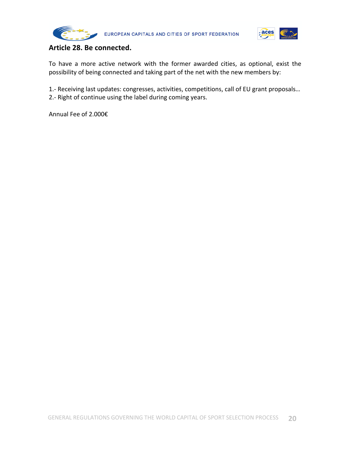



#### **Article 28. Be connected.**

To have a more active network with the former awarded cities, as optional, exist the possibility of being connected and taking part of the net with the new members by:

1.- Receiving last updates: congresses, activities, competitions, call of EU grant proposals…

2.- Right of continue using the label during coming years.

Annual Fee of 2.000€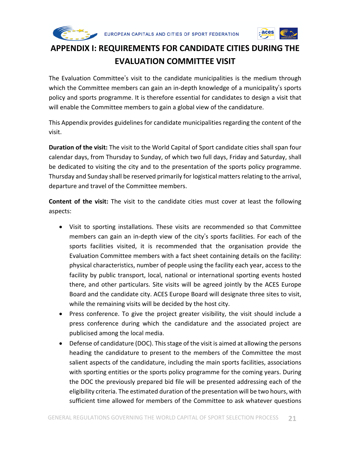



# **APPENDIX I: REQUIREMENTS FOR CANDIDATE CITIES DURING THE EVALUATION COMMITTEE VISIT**

The Evaluation Committee's visit to the candidate municipalities is the medium through which the Committee members can gain an in-depth knowledge of a municipality's sports policy and sports programme. It is therefore essential for candidates to design a visit that will enable the Committee members to gain a global view of the candidature.

This Appendix provides guidelines for candidate municipalities regarding the content of the visit.

**Duration of the visit:** The visit to the World Capital of Sport candidate cities shall span four calendar days, from Thursday to Sunday, of which two full days, Friday and Saturday, shall be dedicated to visiting the city and to the presentation of the sports policy programme. Thursday and Sunday shall be reserved primarily for logistical matters relating to the arrival, departure and travel of the Committee members.

**Content of the visit:** The visit to the candidate cities must cover at least the following aspects:

- Visit to sporting installations. These visits are recommended so that Committee members can gain an in-depth view of the city's sports facilities. For each of the sports facilities visited, it is recommended that the organisation provide the Evaluation Committee members with a fact sheet containing details on the facility: physical characteristics, number of people using the facility each year, access to the facility by public transport, local, national or international sporting events hosted there, and other particulars. Site visits will be agreed jointly by the ACES Europe Board and the candidate city. ACES Europe Board will designate three sites to visit, while the remaining visits will be decided by the host city.
- Press conference. To give the project greater visibility, the visit should include a press conference during which the candidature and the associated project are publicised among the local media.
- Defense of candidature (DOC). This stage of the visit is aimed at allowing the persons heading the candidature to present to the members of the Committee the most salient aspects of the candidature, including the main sports facilities, associations with sporting entities or the sports policy programme for the coming years. During the DOC the previously prepared bid file will be presented addressing each of the eligibility criteria. The estimated duration of the presentation will be two hours, with sufficient time allowed for members of the Committee to ask whatever questions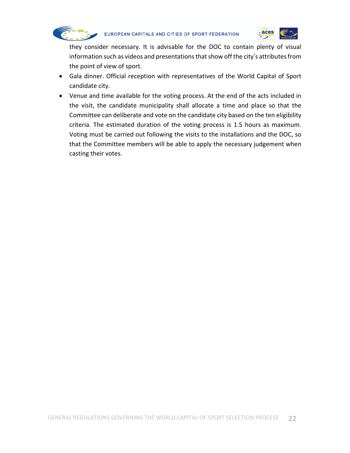



they consider necessary. It is advisable for the DOC to contain plenty of visual information such as videos and presentations that show off the city's attributes from the point of view of sport.

- Gala dinner. Official reception with representatives of the World Capital of Sport candidate city.
- Venue and time available for the voting process. At the end of the acts included in the visit, the candidate municipality shall allocate a time and place so that the Committee can deliberate and vote on the candidate city based on the ten eligibility criteria. The estimated duration of the voting process is 1.5 hours as maximum. Voting must be carried out following the visits to the installations and the DOC, so that the Committee members will be able to apply the necessary judgement when casting their votes.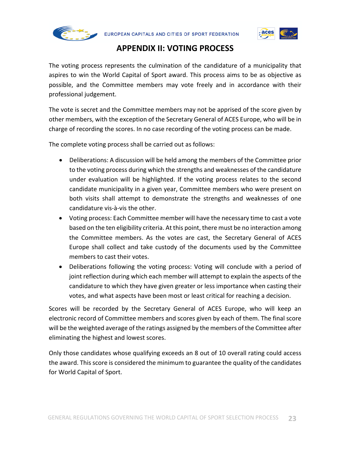

EUROPEAN CAPITALS AND CITIES OF SPORT FEDERATION



# **APPENDIX II: VOTING PROCESS**

The voting process represents the culmination of the candidature of a municipality that aspires to win the World Capital of Sport award. This process aims to be as objective as possible, and the Committee members may vote freely and in accordance with their professional judgement.

The vote is secret and the Committee members may not be apprised of the score given by other members, with the exception of the Secretary General of ACES Europe, who will be in charge of recording the scores. In no case recording of the voting process can be made.

The complete voting process shall be carried out as follows:

- Deliberations: A discussion will be held among the members of the Committee prior to the voting process during which the strengths and weaknesses of the candidature under evaluation will be highlighted. If the voting process relates to the second candidate municipality in a given year, Committee members who were present on both visits shall attempt to demonstrate the strengths and weaknesses of one candidature vis-à-vis the other.
- Voting process: Each Committee member will have the necessary time to cast a vote based on the ten eligibility criteria. At this point, there must be no interaction among the Committee members. As the votes are cast, the Secretary General of ACES Europe shall collect and take custody of the documents used by the Committee members to cast their votes.
- Deliberations following the voting process: Voting will conclude with a period of joint reflection during which each member will attempt to explain the aspects of the candidature to which they have given greater or less importance when casting their votes, and what aspects have been most or least critical for reaching a decision.

Scores will be recorded by the Secretary General of ACES Europe, who will keep an electronic record of Committee members and scores given by each of them. The final score will be the weighted average of the ratings assigned by the members of the Committee after eliminating the highest and lowest scores.

Only those candidates whose qualifying exceeds an 8 out of 10 overall rating could access the award. This score is considered the minimum to guarantee the quality of the candidates for World Capital of Sport.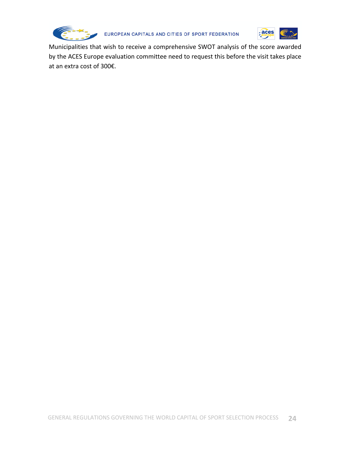

EUROPEAN CAPITALS AND CITIES OF SPORT FEDERATION



Municipalities that wish to receive a comprehensive SWOT analysis of the score awarded by the ACES Europe evaluation committee need to request this before the visit takes place at an extra cost of 300€.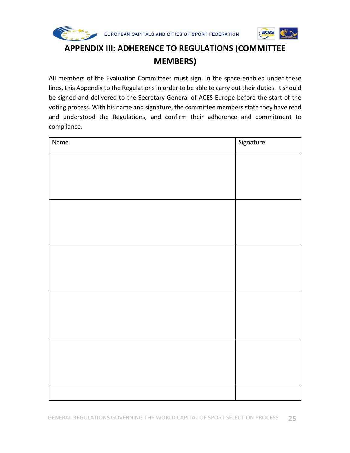



# **APPENDIX III: ADHERENCE TO REGULATIONS (COMMITTEE MEMBERS)**

All members of the Evaluation Committees must sign, in the space enabled under these lines, this Appendix to the Regulations in order to be able to carry out their duties. It should be signed and delivered to the Secretary General of ACES Europe before the start of the voting process. With his name and signature, the committee members state they have read and understood the Regulations, and confirm their adherence and commitment to compliance.

| Name | Signature |
|------|-----------|
|      |           |
|      |           |
|      |           |
|      |           |
|      |           |
|      |           |
|      |           |
|      |           |
|      |           |
|      |           |
|      |           |
|      |           |
|      |           |
|      |           |
|      |           |
|      |           |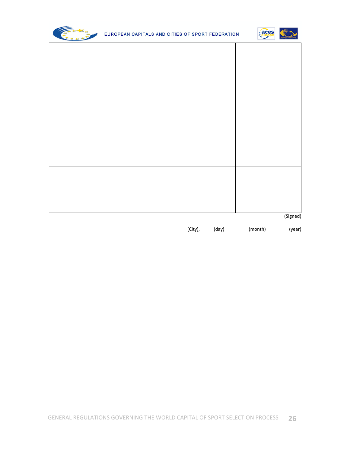

#### EUROPEAN CAPITALS AND CITIES OF SPORT FEDERATION



| (Signed) |
|----------|

(City), (day) (month) (year)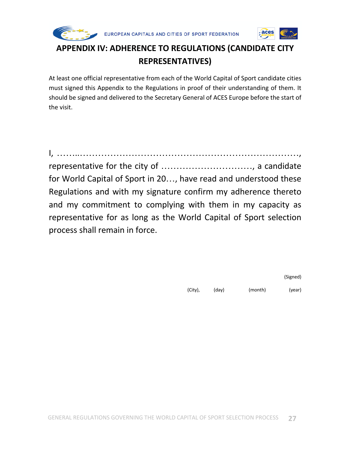



# **APPENDIX IV: ADHERENCE TO REGULATIONS (CANDIDATE CITY REPRESENTATIVES)**

At least one official representative from each of the World Capital of Sport candidate cities must signed this Appendix to the Regulations in proof of their understanding of them. It should be signed and delivered to the Secretary General of ACES Europe before the start of the visit.

I, ……..………………………………………………………………, representative for the city of …………………………, a candidate for World Capital of Sport in 20…, have read and understood these Regulations and with my signature confirm my adherence thereto and my commitment to complying with them in my capacity as representative for as long as the World Capital of Sport selection process shall remain in force.

|         |       |         | (Signed) |
|---------|-------|---------|----------|
| (City), | (day) | (month) | (year)   |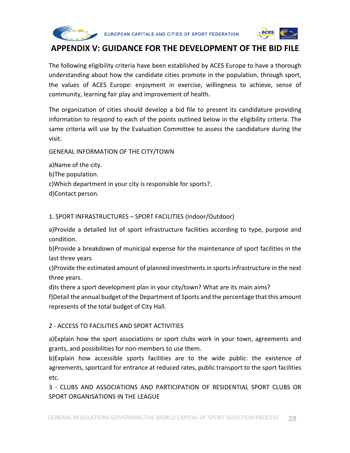



# **APPENDIX V: GUIDANCE FOR THE DEVELOPMENT OF THE BID FILE**

The following eligibility criteria have been established by ACES Europe to have a thorough understanding about how the candidate cities promote in the population, through sport, the values of ACES Europe: enjoyment in exercise, willingness to achieve, sense of community, learning fair play and improvement of health.

The organization of cities should develop a bid file to present its candidature providing information to respond to each of the points outlined below in the eligibility criteria. The same criteria will use by the Evaluation Committee to assess the candidature during the visit.

#### GENERAL INFORMATION OF THE CITY/TOWN

a)Name of the city.

b)The population.

c)Which department in your city is responsible for sports?.

d)Contact person.

#### 1. SPORT INFRASTRUCTURES – SPORT FACILITIES (Indoor/Outdoor)

a)Provide a detailed list of sport infrastructure facilities according to type, purpose and condition.

b)Provide a breakdown of municipal expense for the maintenance of sport facilities in the last three years

c)Provide the estimated amount of planned investments in sports infrastructure in the next three years.

d)Is there a sport development plan in your city/town? What are its main aims?

f)Detail the annual budget of the Department of Sports and the percentage that this amount represents of the total budget of City Hall.

#### 2 - ACCESS TO FACILITIES AND SPORT ACTIVITIES

a)Explain how the sport associations or sport clubs work in your town, agreements and grants, and possibilities for non-members to use them.

b)Explain how accessible sports facilities are to the wide public: the existence of agreements, sportcard for entrance at reduced rates, public transport to the sport facilities etc.

3 - CLUBS AND ASSOCIATIONS AND PARTICIPATION OF RESIDENTIAL SPORT CLUBS OR SPORT ORGANISATIONS IN THE LEAGUE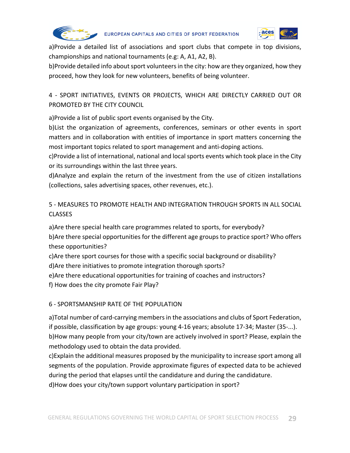



a)Provide a detailed list of associations and sport clubs that compete in top divisions, championships and national tournaments (e.g: A, A1, A2, B).

b)Provide detailed info about sport volunteers in the city: how are they organized, how they proceed, how they look for new volunteers, benefits of being volunteer.

4 - SPORT INITIATIVES, EVENTS OR PROJECTS, WHICH ARE DIRECTLY CARRIED OUT OR PROMOTED BY THE CITY COUNCIL

a)Provide a list of public sport events organised by the City.

b)List the organization of agreements, conferences, seminars or other events in sport matters and in collaboration with entities of importance in sport matters concerning the most important topics related to sport management and anti-doping actions.

c)Provide a list of international, national and local sports events which took place in the City or its surroundings within the last three years.

d)Analyze and explain the return of the investment from the use of citizen installations (collections, sales advertising spaces, other revenues, etc.).

5 - MEASURES TO PROMOTE HEALTH AND INTEGRATION THROUGH SPORTS IN ALL SOCIAL CLASSES

a)Are there special health care programmes related to sports, for everybody?

b)Are there special opportunities for the different age groups to practice sport? Who offers these opportunities?

c)Are there sport courses for those with a specific social background or disability?

d)Are there initiatives to promote integration thorough sports?

e)Are there educational opportunities for training of coaches and instructors?

f) How does the city promote Fair Play?

#### 6 - SPORTSMANSHIP RATE OF THE POPULATION

a)Total number of card-carrying members in the associations and clubs of Sport Federation, if possible, classification by age groups: young 4-16 years; absolute 17-34; Master (35-...). b)How many people from your city/town are actively involved in sport? Please, explain the methodology used to obtain the data provided.

c)Explain the additional measures proposed by the municipality to increase sport among all segments of the population. Provide approximate figures of expected data to be achieved during the period that elapses until the candidature and during the candidature. d)How does your city/town support voluntary participation in sport?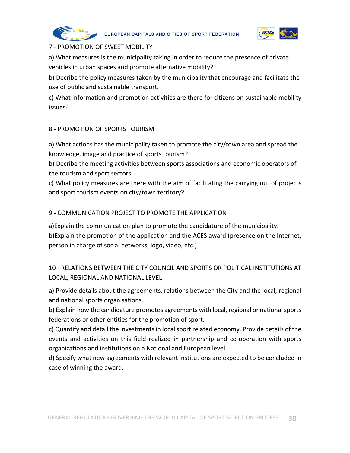



#### 7 - PROMOTION OF SWEET MOBILITY

a) What measures is the municipality taking in order to reduce the presence of private vehicles in urban spaces and promote alternative mobility?

b) Decribe the policy measures taken by the municipality that encourage and facilitate the use of public and sustainable transport.

c) What information and promotion activities are there for citizens on sustainable mobility issues?

#### 8 - PROMOTION OF SPORTS TOURISM

a) What actions has the municipality taken to promote the city/town area and spread the knowledge, image and practice of sports tourism?

b) Decribe the meeting activities between sports associations and economic operators of the tourism and sport sectors.

c) What policy measures are there with the aim of facilitating the carrying out of projects and sport tourism events on city/town territory?

#### 9 - COMMUNICATION PROJECT TO PROMOTE THE APPLICATION

a)Explain the communication plan to promote the candidature of the municipality. b)Explain the promotion of the application and the ACES award (presence on the Internet, person in charge of social networks, logo, video, etc.)

10 - RELATIONS BETWEEN THE CITY COUNCIL AND SPORTS OR POLITICAL INSTITUTIONS AT LOCAL, REGIONAL AND NATIONAL LEVEL

a) Provide details about the agreements, relations between the City and the local, regional and national sports organisations.

b) Explain how the candidature promotes agreements with local, regional or national sports federations or other entities for the promotion of sport.

c) Quantify and detail the investments in local sport related economy. Provide details of the events and activities on this field realized in partnership and co-operation with sports organizations and institutions on a National and European level.

d) Specify what new agreements with relevant institutions are expected to be concluded in case of winning the award.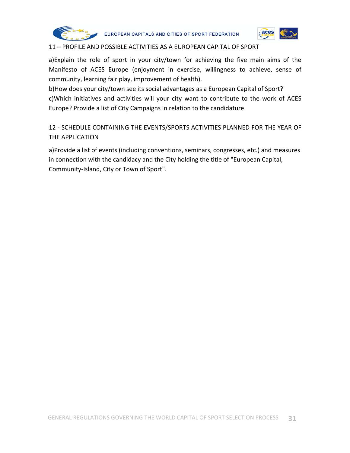

EUROPEAN CAPITALS AND CITIES OF SPORT FEDERATION



#### 11 – PROFILE AND POSSIBLE ACTIVITIES AS A EUROPEAN CAPITAL OF SPORT

a)Explain the role of sport in your city/town for achieving the five main aims of the Manifesto of ACES Europe (enjoyment in exercise, willingness to achieve, sense of community, learning fair play, improvement of health).

b)How does your city/town see its social advantages as a European Capital of Sport? c)Which initiatives and activities will your city want to contribute to the work of ACES Europe? Provide a list of City Campaigns in relation to the candidature.

#### 12 - SCHEDULE CONTAINING THE EVENTS/SPORTS ACTIVITIES PLANNED FOR THE YEAR OF THE APPLICATION

a)Provide a list of events (including conventions, seminars, congresses, etc.) and measures in connection with the candidacy and the City holding the title of "European Capital, Community-Island, City or Town of Sport".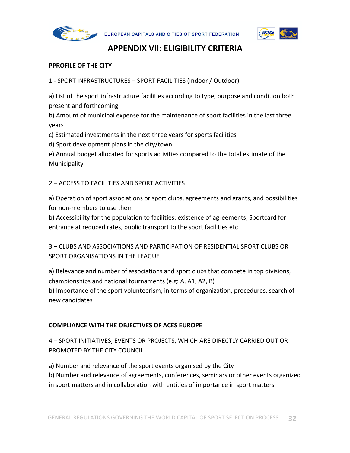



# **APPENDIX VII: ELIGIBILITY CRITERIA**

#### **PPROFILE OF THE CITY**

1 - SPORT INFRASTRUCTURES – SPORT FACILITIES (Indoor / Outdoor)

a) List of the sport infrastructure facilities according to type, purpose and condition both present and forthcoming

b) Amount of municipal expense for the maintenance of sport facilities in the last three years

c) Estimated investments in the next three years for sports facilities

d) Sport development plans in the city/town

e) Annual budget allocated for sports activities compared to the total estimate of the Municipality

#### 2 – ACCESS TO FACILITIES AND SPORT ACTIVITIES

a) Operation of sport associations or sport clubs, agreements and grants, and possibilities for non-members to use them

b) Accessibility for the population to facilities: existence of agreements, Sportcard for entrance at reduced rates, public transport to the sport facilities etc

3 – CLUBS AND ASSOCIATIONS AND PARTICIPATION OF RESIDENTIAL SPORT CLUBS OR SPORT ORGANISATIONS IN THE LEAGUE

a) Relevance and number of associations and sport clubs that compete in top divisions, championships and national tournaments (e.g: A, A1, A2, B)

b) Importance of the sport volunteerism, in terms of organization, procedures, search of new candidates

#### **COMPLIANCE WITH THE OBJECTIVES OF ACES EUROPE**

4 – SPORT INITIATIVES, EVENTS OR PROJECTS, WHICH ARE DIRECTLY CARRIED OUT OR PROMOTED BY THE CITY COUNCIL

a) Number and relevance of the sport events organised by the City

b) Number and relevance of agreements, conferences, seminars or other events organized in sport matters and in collaboration with entities of importance in sport matters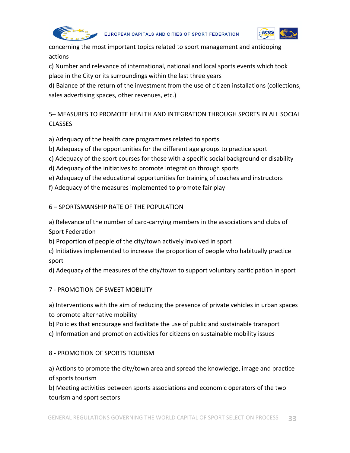



concerning the most important topics related to sport management and antidoping actions

c) Number and relevance of international, national and local sports events which took place in the City or its surroundings within the last three years

d) Balance of the return of the investment from the use of citizen installations (collections, sales advertising spaces, other revenues, etc.)

5– MEASURES TO PROMOTE HEALTH AND INTEGRATION THROUGH SPORTS IN ALL SOCIAL CLASSES

a) Adequacy of the health care programmes related to sports

b) Adequacy of the opportunities for the different age groups to practice sport

c) Adequacy of the sport courses for those with a specific social background or disability

d) Adequacy of the initiatives to promote integration through sports

e) Adequacy of the educational opportunities for training of coaches and instructors

f) Adequacy of the measures implemented to promote fair play

#### 6 – SPORTSMANSHIP RATE OF THE POPULATION

a) Relevance of the number of card-carrying members in the associations and clubs of Sport Federation

b) Proportion of people of the city/town actively involved in sport

c) Initiatives implemented to increase the proportion of people who habitually practice sport

d) Adequacy of the measures of the city/town to support voluntary participation in sport

### 7 - PROMOTION OF SWEET MOBILITY

a) Interventions with the aim of reducing the presence of private vehicles in urban spaces to promote alternative mobility

b) Policies that encourage and facilitate the use of public and sustainable transport

c) Information and promotion activities for citizens on sustainable mobility issues

8 - PROMOTION OF SPORTS TOURISM

a) Actions to promote the city/town area and spread the knowledge, image and practice of sports tourism

b) Meeting activities between sports associations and economic operators of the two tourism and sport sectors